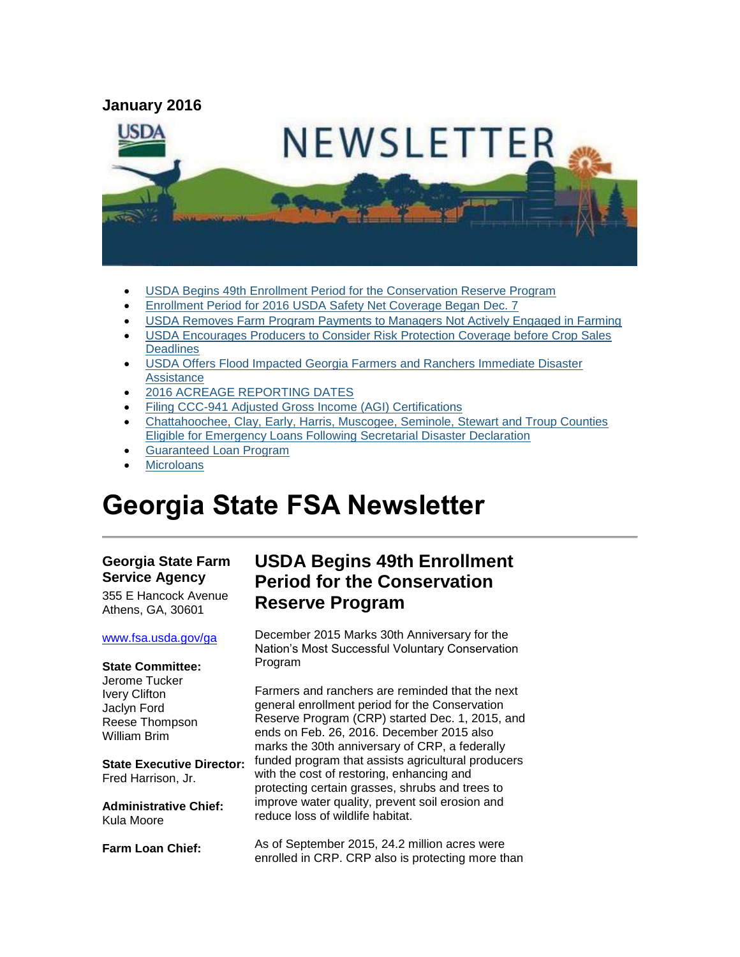

- [USDA Begins 49th Enrollment Period for the Conservation Reserve Program](#page-0-0)
- [Enrollment Period for 2016 USDA Safety Net Coverage Began Dec. 7](#page-2-0)
- [USDA Removes Farm Program Payments to Managers Not Actively Engaged in Farming](#page-2-1)
- [USDA Encourages Producers to Consider Risk Protection Coverage before Crop Sales](#page-3-0)  **[Deadlines](#page-3-0)**
- [USDA Offers Flood Impacted Georgia Farmers and Ranchers Immediate Disaster](#page-3-1)  [Assistance](#page-3-1)
- [2016 ACREAGE REPORTING DATES](#page-4-0)
- [Filing CCC-941 Adjusted Gross Income \(AGI\) Certifications](#page-5-0)
- [Chattahoochee, Clay, Early, Harris, Muscogee, Seminole, Stewart and Troup Counties](#page-6-0)  [Eligible for Emergency Loans Following Secretarial Disaster Declaration](#page-6-0)
- [Guaranteed Loan Program](#page-6-1)
- **[Microloans](#page-6-2)**

# **Georgia State FSA Newsletter**

#### **Georgia State Farm Service Agency**

355 E Hancock Avenue Athens, GA, 30601

#### [www.fsa.usda.gov/ga](http://www.fsa.usda.gov/ga)

### **State Committee:**

Jerome Tucker Ivery Clifton Jaclyn Ford Reese Thompson William Brim

**State Executive Director:** Fred Harrison, Jr.

**Administrative Chief:** Kula Moore

**Farm Loan Chief:**

### <span id="page-0-0"></span>**USDA Begins 49th Enrollment Period for the Conservation Reserve Program**

December 2015 Marks 30th Anniversary for the Nation's Most Successful Voluntary Conservation Program

Farmers and ranchers are reminded that the next general enrollment period for the Conservation Reserve Program (CRP) started Dec. 1, 2015, and ends on Feb. 26, 2016. December 2015 also marks the 30th anniversary of CRP, a federally funded program that assists agricultural producers with the cost of restoring, enhancing and protecting certain grasses, shrubs and trees to improve water quality, prevent soil erosion and reduce loss of wildlife habitat.

As of September 2015, 24.2 million acres were enrolled in CRP. CRP also is protecting more than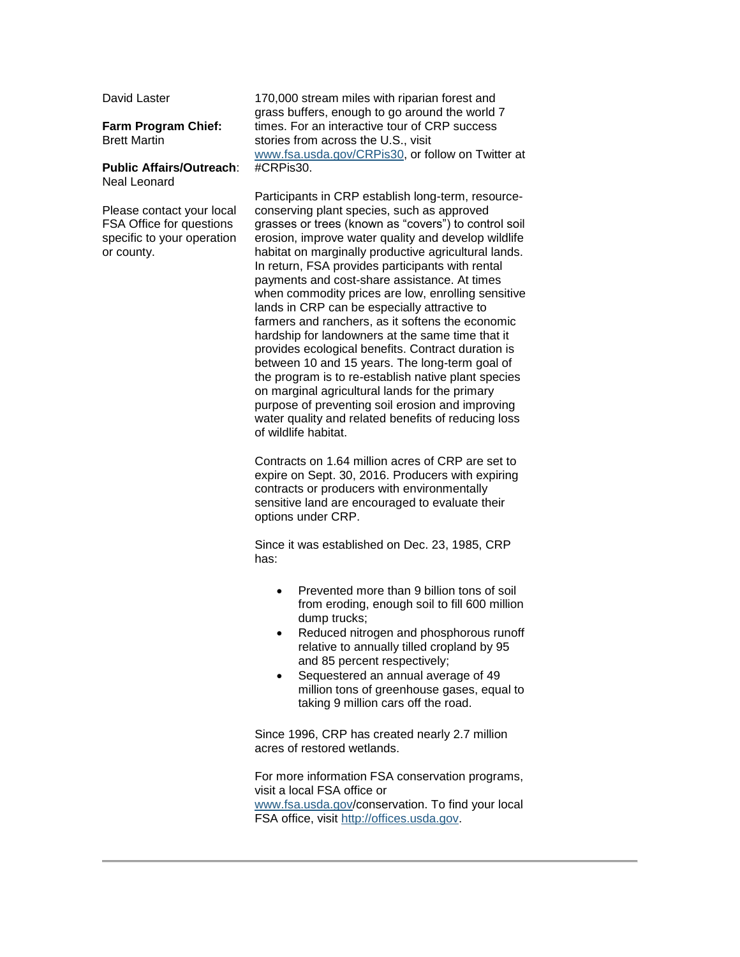David Laster

**Farm Program Chief:** Brett Martin

#### **Public Affairs/Outreach**: Neal Leonard

Please contact your local FSA Office for questions specific to your operation or county.

170,000 stream miles with riparian forest and grass buffers, enough to go around the world 7 times. For an interactive tour of CRP success stories from across the U.S., visit [www.fsa.usda.gov/CRPis30,](http://www.fsa.usda.gov/CRPis30) or follow on Twitter at #CRPis30.

Participants in CRP establish long-term, resourceconserving plant species, such as approved grasses or trees (known as "covers") to control soil erosion, improve water quality and develop wildlife habitat on marginally productive agricultural lands. In return, FSA provides participants with rental payments and cost-share assistance. At times when commodity prices are low, enrolling sensitive lands in CRP can be especially attractive to farmers and ranchers, as it softens the economic hardship for landowners at the same time that it provides ecological benefits. Contract duration is between 10 and 15 years. The long-term goal of the program is to re-establish native plant species on marginal agricultural lands for the primary purpose of preventing soil erosion and improving water quality and related benefits of reducing loss of wildlife habitat.

Contracts on 1.64 million acres of CRP are set to expire on Sept. 30, 2016. Producers with expiring contracts or producers with environmentally sensitive land are encouraged to evaluate their options under CRP.

Since it was established on Dec. 23, 1985, CRP has:

- Prevented more than 9 billion tons of soil from eroding, enough soil to fill 600 million dump trucks;
- Reduced nitrogen and phosphorous runoff relative to annually tilled cropland by 95 and 85 percent respectively;
- Sequestered an annual average of 49 million tons of greenhouse gases, equal to taking 9 million cars off the road.

Since 1996, CRP has created nearly 2.7 million acres of restored wetlands.

For more information FSA conservation programs, visit a local FSA office or [www.fsa.usda.gov/](http://www.fsa.usda.gov/)conservation. To find your local FSA office, visit [http://offices.usda.gov.](http://offices.usda.gov/)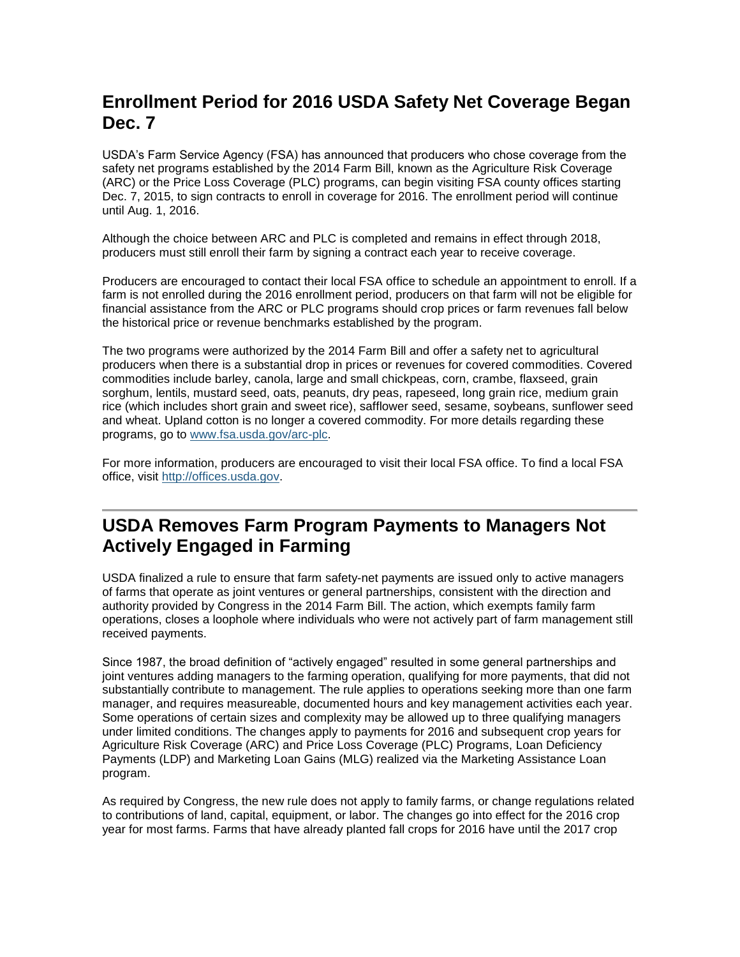# <span id="page-2-0"></span>**Enrollment Period for 2016 USDA Safety Net Coverage Began Dec. 7**

USDA's Farm Service Agency (FSA) has announced that producers who chose coverage from the safety net programs established by the 2014 Farm Bill, known as the Agriculture Risk Coverage (ARC) or the Price Loss Coverage (PLC) programs, can begin visiting FSA county offices starting Dec. 7, 2015, to sign contracts to enroll in coverage for 2016. The enrollment period will continue until Aug. 1, 2016.

Although the choice between ARC and PLC is completed and remains in effect through 2018, producers must still enroll their farm by signing a contract each year to receive coverage.

Producers are encouraged to contact their local FSA office to schedule an appointment to enroll. If a farm is not enrolled during the 2016 enrollment period, producers on that farm will not be eligible for financial assistance from the ARC or PLC programs should crop prices or farm revenues fall below the historical price or revenue benchmarks established by the program.

The two programs were authorized by the 2014 Farm Bill and offer a safety net to agricultural producers when there is a substantial drop in prices or revenues for covered commodities. Covered commodities include barley, canola, large and small chickpeas, corn, crambe, flaxseed, grain sorghum, lentils, mustard seed, oats, peanuts, dry peas, rapeseed, long grain rice, medium grain rice (which includes short grain and sweet rice), safflower seed, sesame, soybeans, sunflower seed and wheat. Upland cotton is no longer a covered commodity. For more details regarding these programs, go to [www.fsa.usda.gov/arc-plc.](http://www.fsa.usda.gov/arc-plc)

For more information, producers are encouraged to visit their local FSA office. To find a local FSA office, visit [http://offices.usda.gov.](http://offices.usda.gov/)

# <span id="page-2-1"></span>**USDA Removes Farm Program Payments to Managers Not Actively Engaged in Farming**

USDA finalized a rule to ensure that farm safety-net payments are issued only to active managers of farms that operate as joint ventures or general partnerships, consistent with the direction and authority provided by Congress in the 2014 Farm Bill. The action, which exempts family farm operations, closes a loophole where individuals who were not actively part of farm management still received payments.

Since 1987, the broad definition of "actively engaged" resulted in some general partnerships and joint ventures adding managers to the farming operation, qualifying for more payments, that did not substantially contribute to management. The rule applies to operations seeking more than one farm manager, and requires measureable, documented hours and key management activities each year. Some operations of certain sizes and complexity may be allowed up to three qualifying managers under limited conditions. The changes apply to payments for 2016 and subsequent crop years for Agriculture Risk Coverage (ARC) and Price Loss Coverage (PLC) Programs, Loan Deficiency Payments (LDP) and Marketing Loan Gains (MLG) realized via the Marketing Assistance Loan program.

As required by Congress, the new rule does not apply to family farms, or change regulations related to contributions of land, capital, equipment, or labor. The changes go into effect for the 2016 crop year for most farms. Farms that have already planted fall crops for 2016 have until the 2017 crop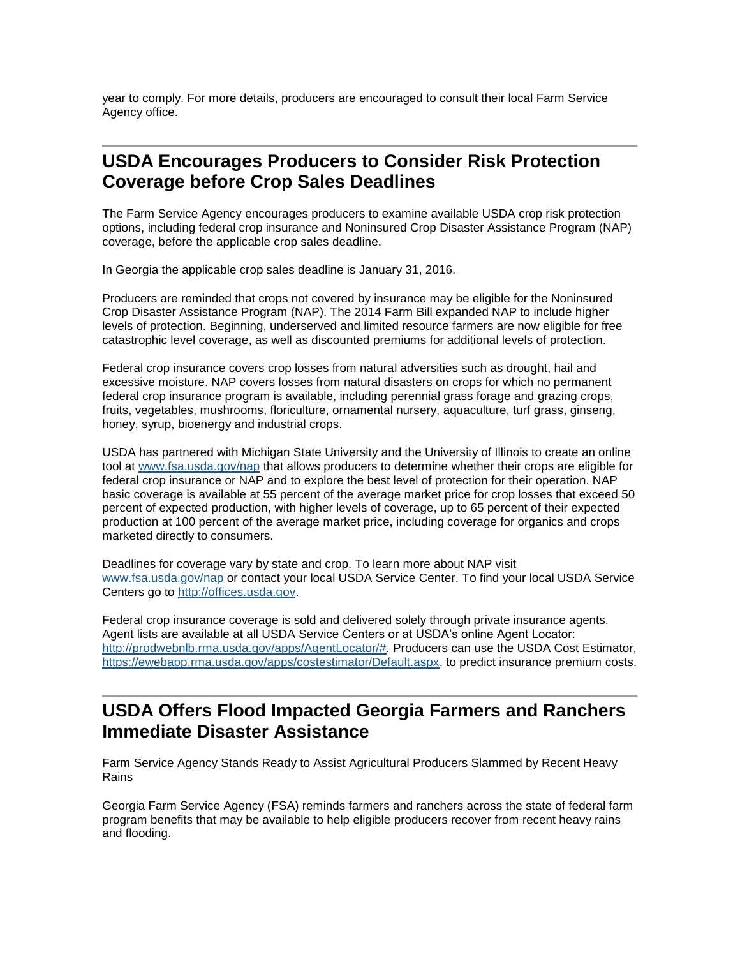year to comply. For more details, producers are encouraged to consult their local Farm Service Agency office.

#### <span id="page-3-0"></span>**USDA Encourages Producers to Consider Risk Protection Coverage before Crop Sales Deadlines**

The Farm Service Agency encourages producers to examine available USDA crop risk protection options, including federal crop insurance and Noninsured Crop Disaster Assistance Program (NAP) coverage, before the applicable crop sales deadline.

In Georgia the applicable crop sales deadline is January 31, 2016.

Producers are reminded that crops not covered by insurance may be eligible for the Noninsured Crop Disaster Assistance Program (NAP). The 2014 Farm Bill expanded NAP to include higher levels of protection. Beginning, underserved and limited resource farmers are now eligible for free catastrophic level coverage, as well as discounted premiums for additional levels of protection.

Federal crop insurance covers crop losses from natural adversities such as drought, hail and excessive moisture. NAP covers losses from natural disasters on crops for which no permanent federal crop insurance program is available, including perennial grass forage and grazing crops, fruits, vegetables, mushrooms, floriculture, ornamental nursery, aquaculture, turf grass, ginseng, honey, syrup, bioenergy and industrial crops.

USDA has partnered with Michigan State University and the University of Illinois to create an online tool at [www.fsa.usda.gov/nap](http://www.fsa.usda.gov/nap) that allows producers to determine whether their crops are eligible for federal crop insurance or NAP and to explore the best level of protection for their operation. NAP basic coverage is available at 55 percent of the average market price for crop losses that exceed 50 percent of expected production, with higher levels of coverage, up to 65 percent of their expected production at 100 percent of the average market price, including coverage for organics and crops marketed directly to consumers.

Deadlines for coverage vary by state and crop. To learn more about NAP visit [www.fsa.usda.gov/nap](http://www.fsa.usda.gov/nap) or contact your local USDA Service Center. To find your local USDA Service Centers go to [http://offices.usda.gov.](http://offices.usda.gov/)

Federal crop insurance coverage is sold and delivered solely through private insurance agents. Agent lists are available at all USDA Service Centers or at USDA's online Agent Locator: [http://prodwebnlb.rma.usda.gov/apps/AgentLocator/#.](http://prodwebnlb.rma.usda.gov/apps/AgentLocator/) Producers can use the USDA Cost Estimator. [https://ewebapp.rma.usda.gov/apps/costestimator/Default.aspx,](https://ewebapp.rma.usda.gov/apps/costestimator/Default.aspx) to predict insurance premium costs.

#### <span id="page-3-1"></span>**USDA Offers Flood Impacted Georgia Farmers and Ranchers Immediate Disaster Assistance**

Farm Service Agency Stands Ready to Assist Agricultural Producers Slammed by Recent Heavy Rains

Georgia Farm Service Agency (FSA) reminds farmers and ranchers across the state of federal farm program benefits that may be available to help eligible producers recover from recent heavy rains and flooding.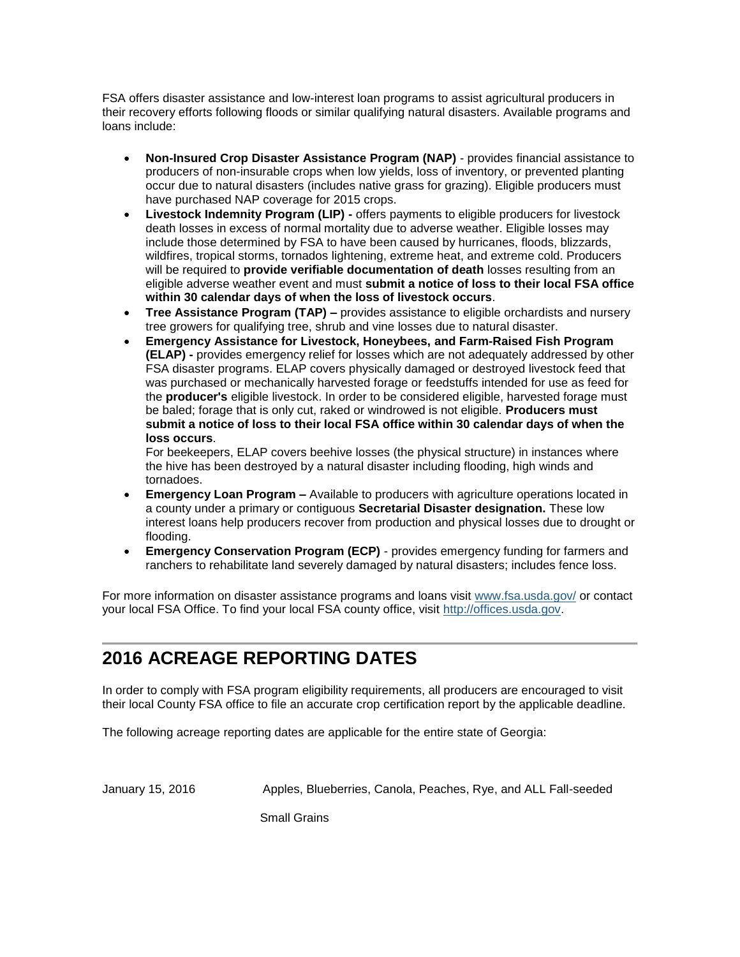FSA offers disaster assistance and low-interest loan programs to assist agricultural producers in their recovery efforts following floods or similar qualifying natural disasters. Available programs and loans include:

- **Non-Insured Crop Disaster Assistance Program (NAP)**  provides financial assistance to producers of non-insurable crops when low yields, loss of inventory, or prevented planting occur due to natural disasters (includes native grass for grazing). Eligible producers must have purchased NAP coverage for 2015 crops.
- **Livestock Indemnity Program (LIP) -** offers payments to eligible producers for livestock death losses in excess of normal mortality due to adverse weather. Eligible losses may include those determined by FSA to have been caused by hurricanes, floods, blizzards, wildfires, tropical storms, tornados lightening, extreme heat, and extreme cold. Producers will be required to **provide verifiable documentation of death** losses resulting from an eligible adverse weather event and must **submit a notice of loss to their local FSA office within 30 calendar days of when the loss of livestock occurs**.
- **Tree Assistance Program (TAP) –** provides assistance to eligible orchardists and nursery tree growers for qualifying tree, shrub and vine losses due to natural disaster.
- **Emergency Assistance for Livestock, Honeybees, and Farm-Raised Fish Program (ELAP) -** provides emergency relief for losses which are not adequately addressed by other FSA disaster programs. ELAP covers physically damaged or destroyed livestock feed that was purchased or mechanically harvested forage or feedstuffs intended for use as feed for the **producer's** eligible livestock. In order to be considered eligible, harvested forage must be baled; forage that is only cut, raked or windrowed is not eligible. **Producers must submit a notice of loss to their local FSA office within 30 calendar days of when the loss occurs**.

For beekeepers, ELAP covers beehive losses (the physical structure) in instances where the hive has been destroyed by a natural disaster including flooding, high winds and tornadoes.

- **Emergency Loan Program –** Available to producers with agriculture operations located in a county under a primary or contiguous **Secretarial Disaster designation.** These low interest loans help producers recover from production and physical losses due to drought or flooding.
- **Emergency Conservation Program (ECP)** provides emergency funding for farmers and ranchers to rehabilitate land severely damaged by natural disasters; includes fence loss.

For more information on disaster assistance programs and loans visit [www.fsa.usda.gov/](file:///C:/Users/Brenda.Carlson/AppData/Local/Microsoft/Windows/Temporary%20Internet%20Files/Content.Outlook/DLAI7CRA/www.fsa.usda.gov/) or contact your local FSA Office. To find your local FSA county office, visit [http://offices.usda.gov.](http://offices.usda.gov/)

# <span id="page-4-0"></span>**2016 ACREAGE REPORTING DATES**

In order to comply with FSA program eligibility requirements, all producers are encouraged to visit their local County FSA office to file an accurate crop certification report by the applicable deadline.

The following acreage reporting dates are applicable for the entire state of Georgia:

January 15, 2016 Apples, Blueberries, Canola, Peaches, Rye, and ALL Fall-seeded

Small Grains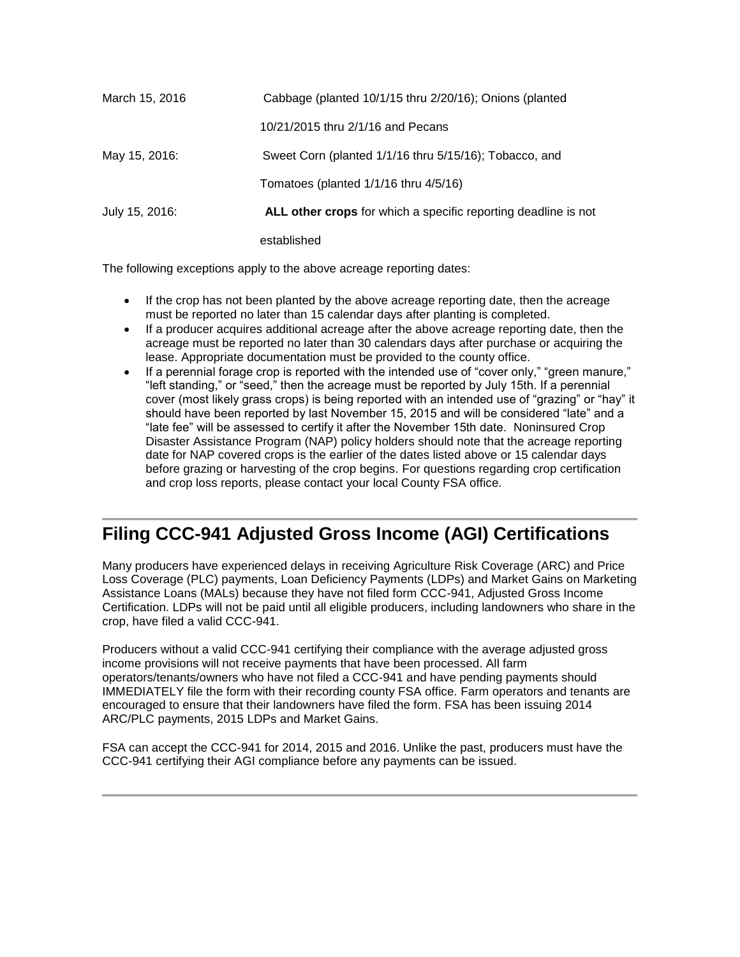| March 15, 2016 | Cabbage (planted 10/1/15 thru 2/20/16); Onions (planted        |
|----------------|----------------------------------------------------------------|
|                | 10/21/2015 thru 2/1/16 and Pecans                              |
| May 15, 2016:  | Sweet Corn (planted 1/1/16 thru 5/15/16); Tobacco, and         |
|                | Tomatoes (planted $1/1/16$ thru $4/5/16$ )                     |
| July 15, 2016: | ALL other crops for which a specific reporting deadline is not |
|                | established                                                    |

The following exceptions apply to the above acreage reporting dates:

- If the crop has not been planted by the above acreage reporting date, then the acreage must be reported no later than 15 calendar days after planting is completed.
- If a producer acquires additional acreage after the above acreage reporting date, then the acreage must be reported no later than 30 calendars days after purchase or acquiring the lease. Appropriate documentation must be provided to the county office.
- If a perennial forage crop is reported with the intended use of "cover only," "green manure," "left standing," or "seed," then the acreage must be reported by July 15th. If a perennial cover (most likely grass crops) is being reported with an intended use of "grazing" or "hay" it should have been reported by last November 15, 2015 and will be considered "late" and a "late fee" will be assessed to certify it after the November 15th date. Noninsured Crop Disaster Assistance Program (NAP) policy holders should note that the acreage reporting date for NAP covered crops is the earlier of the dates listed above or 15 calendar days before grazing or harvesting of the crop begins. For questions regarding crop certification and crop loss reports, please contact your local County FSA office.

# <span id="page-5-0"></span>**Filing CCC-941 Adjusted Gross Income (AGI) Certifications**

Many producers have experienced delays in receiving Agriculture Risk Coverage (ARC) and Price Loss Coverage (PLC) payments, Loan Deficiency Payments (LDPs) and Market Gains on Marketing Assistance Loans (MALs) because they have not filed form CCC-941, Adjusted Gross Income Certification. LDPs will not be paid until all eligible producers, including landowners who share in the crop, have filed a valid CCC-941.

Producers without a valid CCC-941 certifying their compliance with the average adjusted gross income provisions will not receive payments that have been processed. All farm operators/tenants/owners who have not filed a CCC-941 and have pending payments should IMMEDIATELY file the form with their recording county FSA office. Farm operators and tenants are encouraged to ensure that their landowners have filed the form. FSA has been issuing 2014 ARC/PLC payments, 2015 LDPs and Market Gains.

FSA can accept the CCC-941 for 2014, 2015 and 2016. Unlike the past, producers must have the CCC-941 certifying their AGI compliance before any payments can be issued.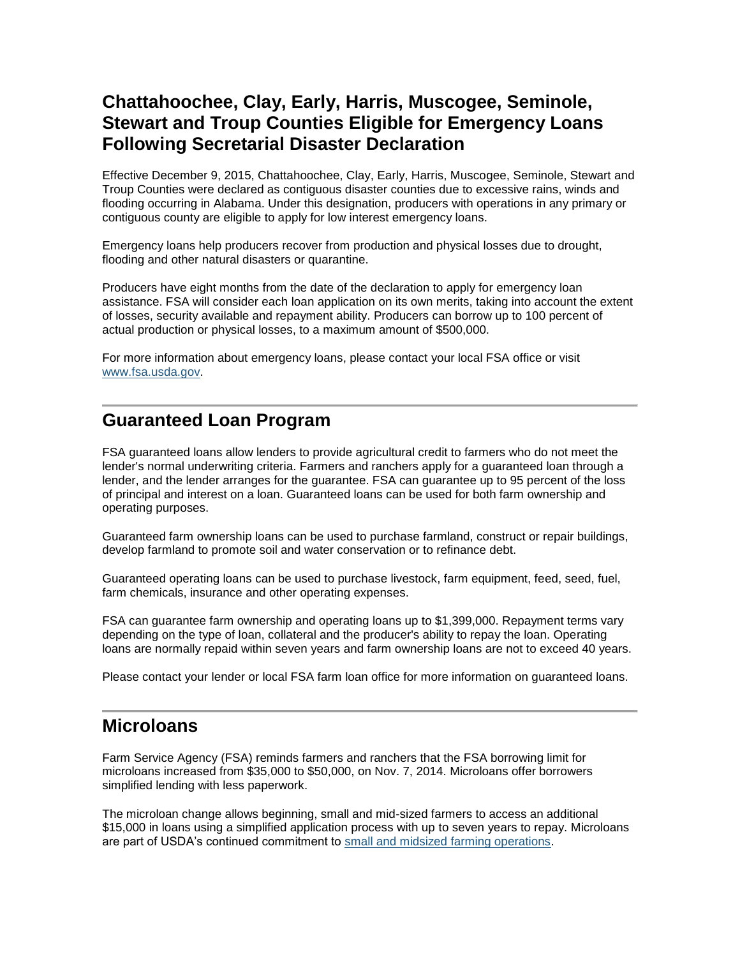### <span id="page-6-0"></span>**Chattahoochee, Clay, Early, Harris, Muscogee, Seminole, Stewart and Troup Counties Eligible for Emergency Loans Following Secretarial Disaster Declaration**

Effective December 9, 2015, Chattahoochee, Clay, Early, Harris, Muscogee, Seminole, Stewart and Troup Counties were declared as contiguous disaster counties due to excessive rains, winds and flooding occurring in Alabama. Under this designation, producers with operations in any primary or contiguous county are eligible to apply for low interest emergency loans.

Emergency loans help producers recover from production and physical losses due to drought, flooding and other natural disasters or quarantine.

Producers have eight months from the date of the declaration to apply for emergency loan assistance. FSA will consider each loan application on its own merits, taking into account the extent of losses, security available and repayment ability. Producers can borrow up to 100 percent of actual production or physical losses, to a maximum amount of \$500,000.

For more information about emergency loans, please contact your local FSA office or visit [www.fsa.usda.gov.](http://www.fsa.usda.gov/)

#### <span id="page-6-1"></span>**Guaranteed Loan Program**

FSA guaranteed loans allow lenders to provide agricultural credit to farmers who do not meet the lender's normal underwriting criteria. Farmers and ranchers apply for a guaranteed loan through a lender, and the lender arranges for the guarantee. FSA can guarantee up to 95 percent of the loss of principal and interest on a loan. Guaranteed loans can be used for both farm ownership and operating purposes.

Guaranteed farm ownership loans can be used to purchase farmland, construct or repair buildings, develop farmland to promote soil and water conservation or to refinance debt.

Guaranteed operating loans can be used to purchase livestock, farm equipment, feed, seed, fuel, farm chemicals, insurance and other operating expenses.

FSA can guarantee farm ownership and operating loans up to \$1,399,000. Repayment terms vary depending on the type of loan, collateral and the producer's ability to repay the loan. Operating loans are normally repaid within seven years and farm ownership loans are not to exceed 40 years.

Please contact your lender or local FSA farm loan office for more information on guaranteed loans.

#### <span id="page-6-2"></span>**Microloans**

Farm Service Agency (FSA) reminds farmers and ranchers that the FSA borrowing limit for microloans increased from \$35,000 to \$50,000, on Nov. 7, 2014. Microloans offer borrowers simplified lending with less paperwork.

The microloan change allows beginning, small and mid-sized farmers to access an additional \$15,000 in loans using a simplified application process with up to seven years to repay. Microloans are part of USDA's continued commitment to [small and midsized farming operations.](http://www.usda.gov/wps/portal/usda/usdahome?contentidonly=true&contentid=small-midsized-farmer-resources.xml)